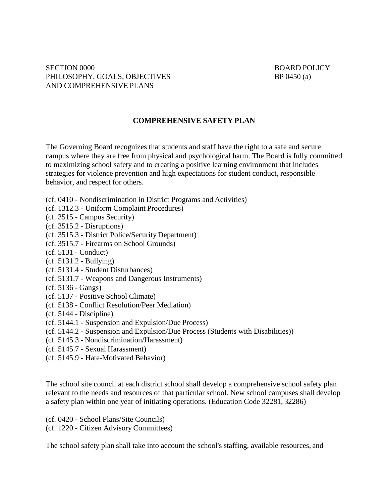## **COMPREHENSIVE SAFETY PLAN**

The Governing Board recognizes that students and staff have the right to a safe and secure campus where they are free from physical and psychological harm. The Board is fully committed to maximizing school safety and to creating a positive learning environment that includes strategies for violence prevention and high expectations for student conduct, responsible behavior, and respect for others.

- (cf. 0410 Nondiscrimination in District Programs and Activities)
- (cf. 1312.3 Uniform Complaint Procedures)
- (cf. 3515 Campus Security)
- (cf. 3515.2 Disruptions)
- (cf. 3515.3 District Police/Security Department)
- (cf. 3515.7 Firearms on School Grounds)
- (cf. 5131 Conduct)
- (cf. 5131.2 Bullying)
- (cf. 5131.4 Student Disturbances)
- (cf. 5131.7 Weapons and Dangerous Instruments)
- (cf. 5136 Gangs)
- (cf. 5137 Positive School Climate)
- (cf. 5138 Conflict Resolution/Peer Mediation)
- (cf. 5144 Discipline)
- (cf. 5144.1 Suspension and Expulsion/Due Process)
- (cf. 5144.2 Suspension and Expulsion/Due Process (Students with Disabilities))
- (cf. 5145.3 Nondiscrimination/Harassment)
- (cf. 5145.7 Sexual Harassment)
- (cf. 5145.9 Hate-Motivated Behavior)

The school site council at each district school shall develop a comprehensive school safety plan relevant to the needs and resources of that particular school. New school campuses shall develop a safety plan within one year of initiating operations. (Education Code 32281, 32286)

(cf. 0420 - School Plans/Site Councils) (cf. 1220 - Citizen Advisory Committees)

The school safety plan shall take into account the school's staffing, available resources, and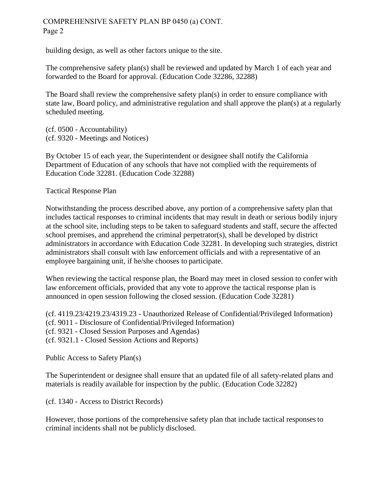## COMPREHENSIVE SAFETY PLAN BP 0450 (a) CONT. Page 2

building design, as well as other factors unique to the site.

The comprehensive safety plan(s) shall be reviewed and updated by March 1 of each year and forwarded to the Board for approval. (Education Code 32286, 32288)

The Board shall review the comprehensive safety plan(s) in order to ensure compliance with state law, Board policy, and administrative regulation and shall approve the plan(s) at a regularly scheduled meeting.

(cf. 0500 - Accountability) (cf. 9320 - Meetings and Notices)

By October 15 of each year, the Superintendent or designee shall notify the California Department of Education of any schools that have not complied with the requirements of Education Code 32281. (Education Code 32288)

Tactical Response Plan

Notwithstanding the process described above, any portion of a comprehensive safety plan that includes tactical responses to criminal incidents that may result in death or serious bodily injury at the school site, including steps to be taken to safeguard students and staff, secure the affected school premises, and apprehend the criminal perpetrator(s), shall be developed by district administrators in accordance with Education Code 32281. In developing such strategies, district administrators shall consult with law enforcement officials and with a representative of an employee bargaining unit, if he/she chooses to participate.

When reviewing the tactical response plan, the Board may meet in closed session to confer with law enforcement officials, provided that any vote to approve the tactical response plan is announced in open session following the closed session. (Education Code 32281)

(cf. 4119.23/4219.23/4319.23 - Unauthorized Release of Confidential/Privileged Information) (cf. 9011 - Disclosure of Confidential/Privileged Information) (cf. 9321 - Closed Session Purposes and Agendas) (cf. 9321.1 - Closed Session Actions and Reports)

Public Access to Safety Plan(s)

The Superintendent or designee shall ensure that an updated file of all safety-related plans and materials is readily available for inspection by the public. (Education Code 32282)

(cf. 1340 - Access to District Records)

However, those portions of the comprehensive safety plan that include tactical responses to criminal incidents shall not be publicly disclosed.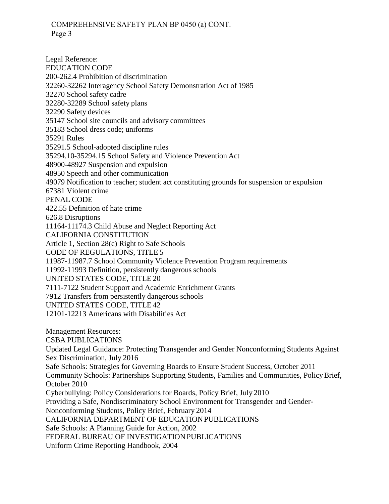## COMPREHENSIVE SAFETY PLAN BP 0450 (a) CONT. Page 3

Legal Reference: EDUCATION CODE 200-262.4 Prohibition of discrimination 32260-32262 Interagency School Safety Demonstration Act of 1985 32270 School safety cadre 32280-32289 School safety plans 32290 Safety devices 35147 School site councils and advisory committees 35183 School dress code; uniforms 35291 Rules 35291.5 School-adopted discipline rules 35294.10-35294.15 School Safety and Violence Prevention Act 48900-48927 Suspension and expulsion 48950 Speech and other communication 49079 Notification to teacher; student act constituting grounds for suspension or expulsion 67381 Violent crime PENAL CODE 422.55 Definition of hate crime 626.8 Disruptions 11164-11174.3 Child Abuse and Neglect Reporting Act CALIFORNIA CONSTITUTION Article 1, Section 28(c) Right to Safe Schools CODE OF REGULATIONS, TITLE 5 11987-11987.7 School Community Violence Prevention Program requirements 11992-11993 Definition, persistently dangerous schools UNITED STATES CODE, TITLE 20 7111-7122 Student Support and Academic Enrichment Grants 7912 Transfers from persistently dangerous schools UNITED STATES CODE, TITLE 42 12101-12213 Americans with Disabilities Act Management Resources: CSBA PUBLICATIONS Updated Legal Guidance: Protecting Transgender and Gender Nonconforming Students Against Sex Discrimination, July 2016 Safe Schools: Strategies for Governing Boards to Ensure Student Success, October 2011 Community Schools: Partnerships Supporting Students, Families and Communities, Policy Brief, October 2010 Cyberbullying: Policy Considerations for Boards, Policy Brief, July 2010 Providing a Safe, Nondiscriminatory School Environment for Transgender and Gender-Nonconforming Students, Policy Brief, February 2014 CALIFORNIA DEPARTMENT OF EDUCATION PUBLICATIONS Safe Schools: A Planning Guide for Action, 2002 FEDERAL BUREAU OF INVESTIGATION PUBLICATIONS Uniform Crime Reporting Handbook, 2004